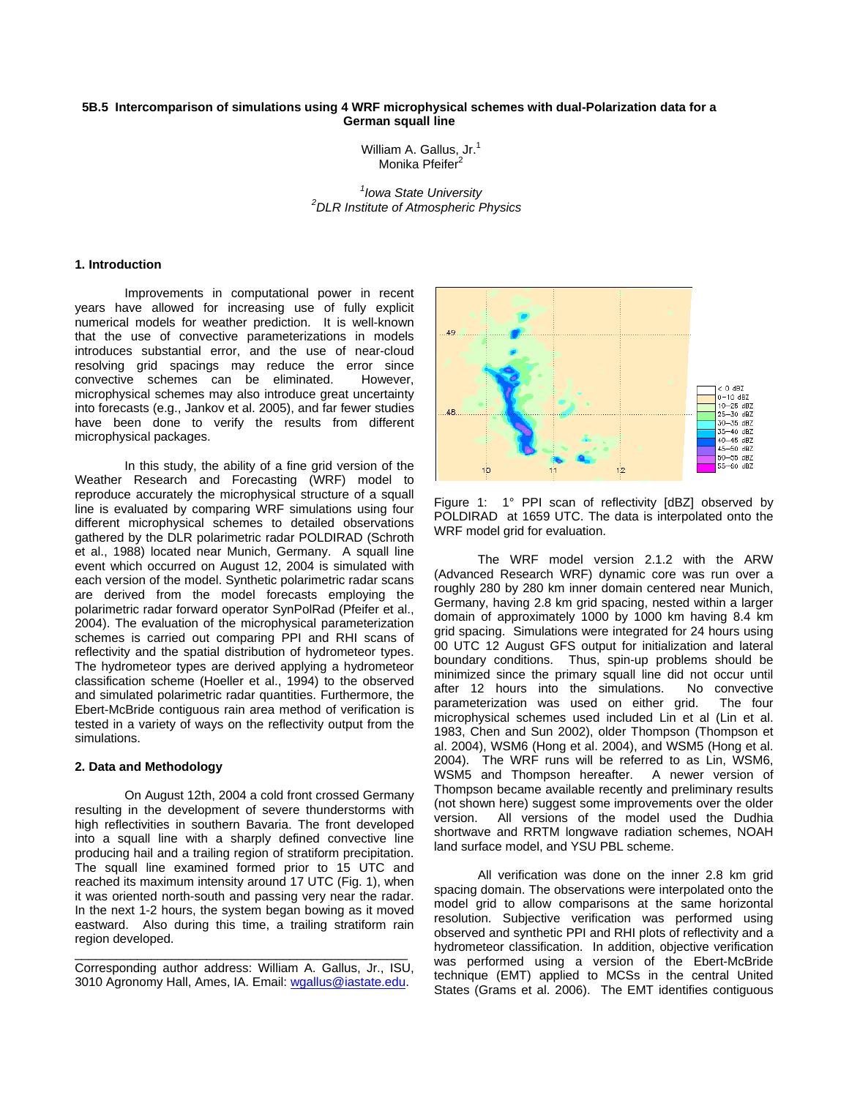### **5B.5 Intercomparison of simulations using 4 WRF microphysical schemes with dual-Polarization data for a German squall line**

William A. Gallus, Jr.<sup>1</sup> Monika Pfeifer<sup>2</sup>

*1 Iowa State University <sup>2</sup> DLR Institute of Atmospheric Physics*

#### **1. Introduction**

Improvements in computational power in recent years have allowed for increasing use of fully explicit numerical models for weather prediction. It is well-known that the use of convective parameterizations in models introduces substantial error, and the use of near-cloud resolving grid spacings may reduce the error since convective schemes can be eliminated. However, microphysical schemes may also introduce great uncertainty into forecasts (e.g., Jankov et al. 2005), and far fewer studies have been done to verify the results from different microphysical packages.

In this study, the ability of a fine grid version of the Weather Research and Forecasting (WRF) model to reproduce accurately the microphysical structure of a squall line is evaluated by comparing WRF simulations using four different microphysical schemes to detailed observations gathered by the DLR polarimetric radar POLDIRAD (Schroth et al., 1988) located near Munich, Germany. A squall line event which occurred on August 12, 2004 is simulated with each version of the model. Synthetic polarimetric radar scans are derived from the model forecasts employing the polarimetric radar forward operator SynPolRad (Pfeifer et al., 2004). The evaluation of the microphysical parameterization schemes is carried out comparing PPI and RHI scans of reflectivity and the spatial distribution of hydrometeor types. The hydrometeor types are derived applying a hydrometeor classification scheme (Hoeller et al., 1994) to the observed and simulated polarimetric radar quantities. Furthermore, the Ebert-McBride contiguous rain area method of verification is tested in a variety of ways on the reflectivity output from the simulations.

#### **2. Data and Methodology**

On August 12th, 2004 a cold front crossed Germany resulting in the development of severe thunderstorms with high reflectivities in southern Bavaria. The front developed into a squall line with a sharply defined convective line producing hail and a trailing region of stratiform precipitation. The squall line examined formed prior to 15 UTC and reached its maximum intensity around 17 UTC (Fig. 1), when it was oriented north-south and passing very near the radar. In the next 1-2 hours, the system began bowing as it moved eastward. Also during this time, a trailing stratiform rain region developed.



Figure 1: 1° PPI scan of reflectivity [dBZ] observed by POLDIRAD at 1659 UTC. The data is interpolated onto the WRF model grid for evaluation.

The WRF model version 2.1.2 with the ARW (Advanced Research WRF) dynamic core was run over a roughly 280 by 280 km inner domain centered near Munich, Germany, having 2.8 km grid spacing, nested within a larger domain of approximately 1000 by 1000 km having 8.4 km grid spacing. Simulations were integrated for 24 hours using 00 UTC 12 August GFS output for initialization and lateral boundary conditions. Thus, spin-up problems should be minimized since the primary squall line did not occur until after 12 hours into the simulations. No convective parameterization was used on either grid. The four microphysical schemes used included Lin et al (Lin et al. 1983, Chen and Sun 2002), older Thompson (Thompson et al. 2004), WSM6 (Hong et al. 2004), and WSM5 (Hong et al. 2004). The WRF runs will be referred to as Lin, WSM6, WSM5 and Thompson hereafter. A newer version of Thompson became available recently and preliminary results (not shown here) suggest some improvements over the older version. All versions of the model used the Dudhia shortwave and RRTM longwave radiation schemes, NOAH land surface model, and YSU PBL scheme.

All verification was done on the inner 2.8 km grid spacing domain. The observations were interpolated onto the model grid to allow comparisons at the same horizontal resolution. Subjective verification was performed using observed and synthetic PPI and RHI plots of reflectivity and a hydrometeor classification. In addition, objective verification was performed using a version of the Ebert-McBride technique (EMT) applied to MCSs in the central United States (Grams et al. 2006). The EMT identifies contiguous

\_\_\_\_\_\_\_\_\_\_\_\_\_\_\_\_\_\_\_\_\_\_\_\_\_\_\_\_\_\_\_\_\_\_\_\_\_\_\_\_\_\_\_\_\_\_\_\_ Corresponding author address: William A. Gallus, Jr., ISU, 3010 Agronomy Hall, Ames, IA. Email: [wgallus@iastate.edu.](mailto:wgallus@iastate.edu)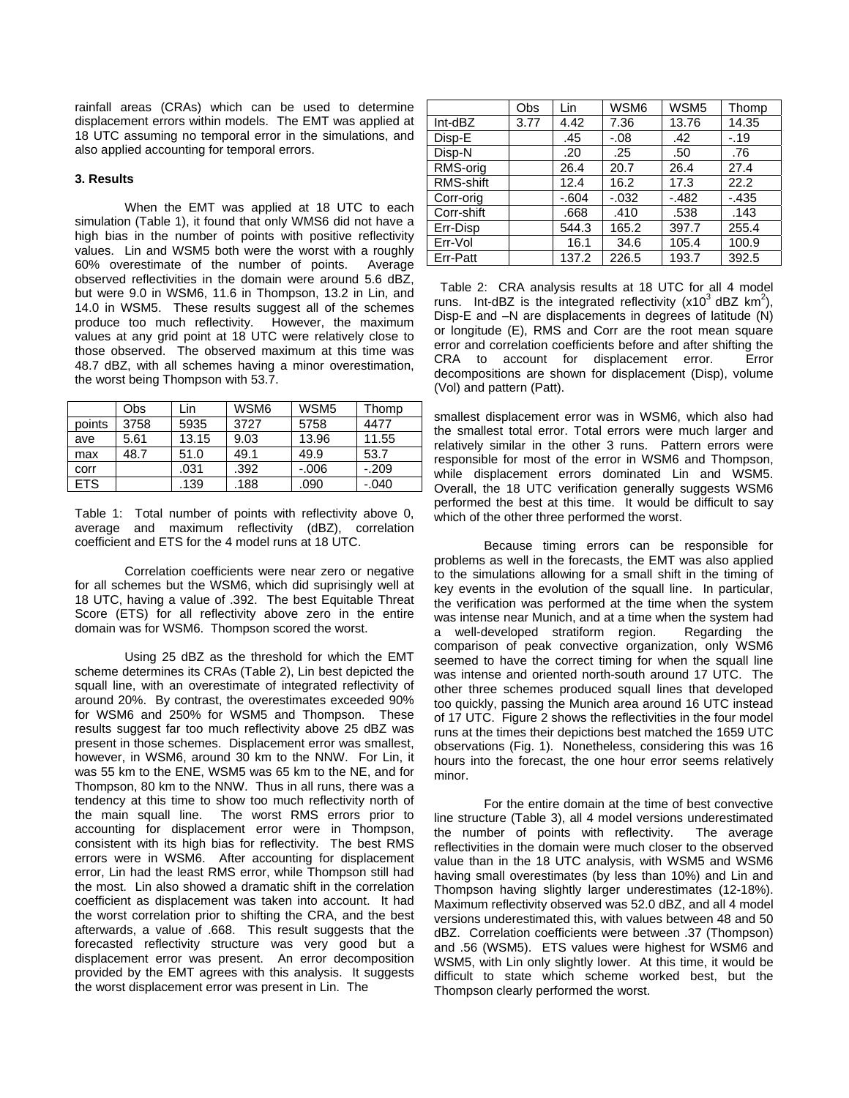rainfall areas (CRAs) which can be used to determine displacement errors within models. The EMT was applied at 18 UTC assuming no temporal error in the simulations, and also applied accounting for temporal errors.

#### **3. Results**

When the EMT was applied at 18 UTC to each simulation (Table 1), it found that only WMS6 did not have a high bias in the number of points with positive reflectivity values. Lin and WSM5 both were the worst with a roughly 60% overestimate of the number of points. Average observed reflectivities in the domain were around 5.6 dBZ, but were 9.0 in WSM6, 11.6 in Thompson, 13.2 in Lin, and 14.0 in WSM5. These results suggest all of the schemes produce too much reflectivity. However, the maximum values at any grid point at 18 UTC were relatively close to those observed. The observed maximum at this time was 48.7 dBZ, with all schemes having a minor overestimation, the worst being Thompson with 53.7.

|            | Obs  | Lin   | WSM6 | WSM <sub>5</sub> | Thomp   |
|------------|------|-------|------|------------------|---------|
| points     | 3758 | 5935  | 3727 | 5758             | 4477    |
| ave        | 5.61 | 13.15 | 9.03 | 13.96            | 11.55   |
| max        | 48.7 | 51.0  | 49.1 | 49.9             | 53.7    |
| corr       |      | .031  | .392 | $-0.06$          | $-209$  |
| <b>ETS</b> |      | .139  | .188 | .090             | $-.040$ |

Table 1: Total number of points with reflectivity above 0, average and maximum reflectivity (dBZ), correlation coefficient and ETS for the 4 model runs at 18 UTC.

Correlation coefficients were near zero or negative for all schemes but the WSM6, which did suprisingly well at 18 UTC, having a value of .392. The best Equitable Threat Score (ETS) for all reflectivity above zero in the entire domain was for WSM6. Thompson scored the worst.

Using 25 dBZ as the threshold for which the EMT scheme determines its CRAs (Table 2), Lin best depicted the squall line, with an overestimate of integrated reflectivity of around 20%. By contrast, the overestimates exceeded 90% for WSM6 and 250% for WSM5 and Thompson. These results suggest far too much reflectivity above 25 dBZ was present in those schemes. Displacement error was smallest, however, in WSM6, around 30 km to the NNW. For Lin, it was 55 km to the ENE, WSM5 was 65 km to the NE, and for Thompson, 80 km to the NNW. Thus in all runs, there was a tendency at this time to show too much reflectivity north of the main squall line. The worst RMS errors prior to accounting for displacement error were in Thompson, consistent with its high bias for reflectivity. The best RMS errors were in WSM6. After accounting for displacement error, Lin had the least RMS error, while Thompson still had the most. Lin also showed a dramatic shift in the correlation coefficient as displacement was taken into account. It had the worst correlation prior to shifting the CRA, and the best afterwards, a value of .668. This result suggests that the forecasted reflectivity structure was very good but a displacement error was present. An error decomposition provided by the EMT agrees with this analysis. It suggests the worst displacement error was present in Lin. The

|            | Obs  | Lin    | WSM6     | WSM <sub>5</sub> | Thomp   |
|------------|------|--------|----------|------------------|---------|
| Int-dBZ    | 3.77 | 4.42   | 7.36     | 13.76            | 14.35   |
| Disp-E     |      | .45    | $-.08$   | .42              | $-.19$  |
| Disp-N     |      | .20    | .25      | .50              | .76     |
| RMS-orig   |      | 26.4   | 20.7     | 26.4             | 27.4    |
| RMS-shift  |      | 12.4   | 16.2     | 17.3             | 22.2    |
| Corr-orig  |      | $-604$ | $-0.032$ | $-.482$          | $-.435$ |
| Corr-shift |      | .668   | .410     | .538             | .143    |
| Err-Disp   |      | 544.3  | 165.2    | 397.7            | 255.4   |
| Err-Vol    |      | 16.1   | 34.6     | 105.4            | 100.9   |
| Err-Patt   |      | 137.2  | 226.5    | 193.7            | 392.5   |

Table 2: CRA analysis results at 18 UTC for all 4 model runs. Int-dBZ is the integrated reflectivity (x10<sup>3</sup> dBZ  $km^2$ ), Disp-E and –N are displacements in degrees of latitude (N) or longitude (E), RMS and Corr are the root mean square error and correlation coefficients before and after shifting the CRA to account for displacement error. Error decompositions are shown for displacement (Disp), volume (Vol) and pattern (Patt).

smallest displacement error was in WSM6, which also had the smallest total error. Total errors were much larger and relatively similar in the other 3 runs. Pattern errors were responsible for most of the error in WSM6 and Thompson, while displacement errors dominated Lin and WSM5. Overall, the 18 UTC verification generally suggests WSM6 performed the best at this time. It would be difficult to say which of the other three performed the worst.

Because timing errors can be responsible for problems as well in the forecasts, the EMT was also applied to the simulations allowing for a small shift in the timing of key events in the evolution of the squall line. In particular, the verification was performed at the time when the system was intense near Munich, and at a time when the system had a well-developed stratiform region. Regarding the comparison of peak convective organization, only WSM6 seemed to have the correct timing for when the squall line was intense and oriented north-south around 17 UTC. The other three schemes produced squall lines that developed too quickly, passing the Munich area around 16 UTC instead of 17 UTC. Figure 2 shows the reflectivities in the four model runs at the times their depictions best matched the 1659 UTC observations (Fig. 1). Nonetheless, considering this was 16 hours into the forecast, the one hour error seems relatively minor.

For the entire domain at the time of best convective line structure (Table 3), all 4 model versions underestimated the number of points with reflectivity. The average reflectivities in the domain were much closer to the observed value than in the 18 UTC analysis, with WSM5 and WSM6 having small overestimates (by less than 10%) and Lin and Thompson having slightly larger underestimates (12-18%). Maximum reflectivity observed was 52.0 dBZ, and all 4 model versions underestimated this, with values between 48 and 50 dBZ. Correlation coefficients were between .37 (Thompson) and .56 (WSM5). ETS values were highest for WSM6 and WSM5, with Lin only slightly lower. At this time, it would be difficult to state which scheme worked best, but the Thompson clearly performed the worst.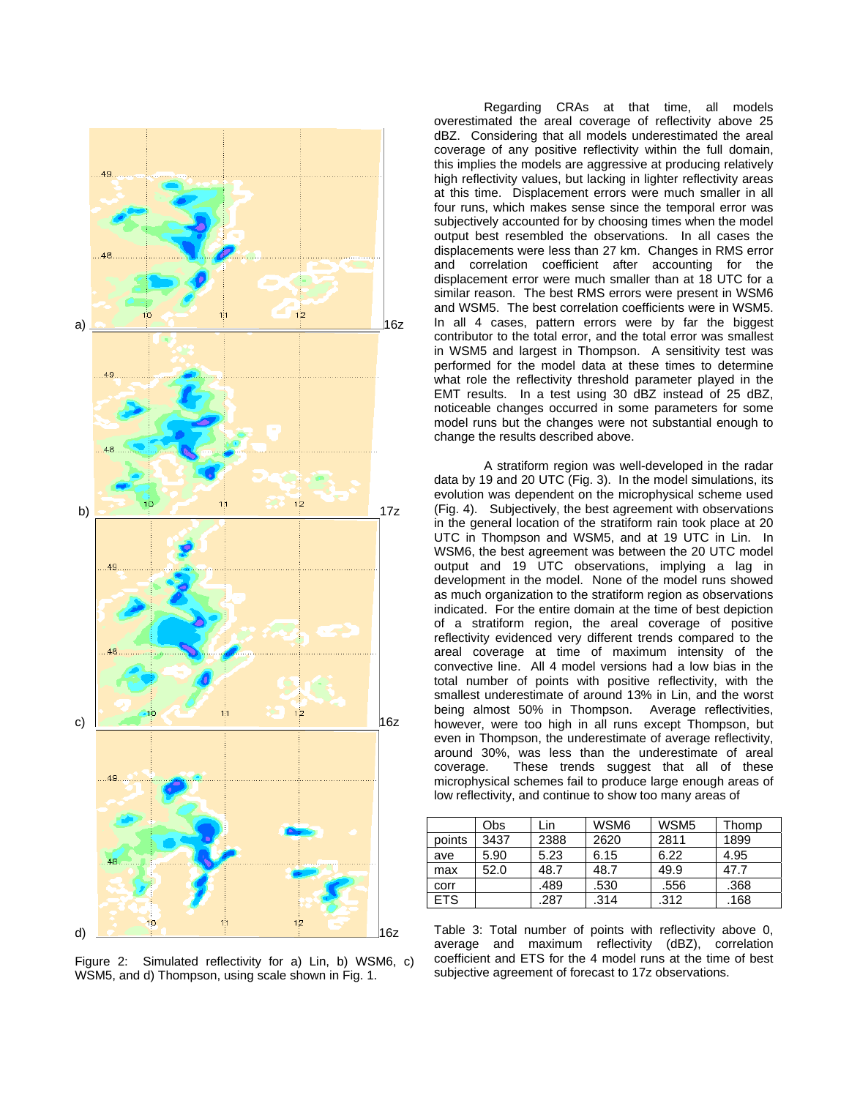

Figure 2: Simulated reflectivity for a) Lin, b) WSM6, c) WSM5, and d) Thompson, using scale shown in Fig. 1.

Regarding CRAs at that time, all models overestimated the areal coverage of reflectivity above 25 dBZ. Considering that all models underestimated the areal coverage of any positive reflectivity within the full domain, this implies the models are aggressive at producing relatively high reflectivity values, but lacking in lighter reflectivity areas at this time. Displacement errors were much smaller in all four runs, which makes sense since the temporal error was subjectively accounted for by choosing times when the model output best resembled the observations. In all cases the displacements were less than 27 km. Changes in RMS error and correlation coefficient after accounting for the displacement error were much smaller than at 18 UTC for a similar reason. The best RMS errors were present in WSM6 and WSM5. The best correlation coefficients were in WSM5. In all 4 cases, pattern errors were by far the biggest contributor to the total error, and the total error was smallest in WSM5 and largest in Thompson. A sensitivity test was performed for the model data at these times to determine what role the reflectivity threshold parameter played in the EMT results. In a test using 30 dBZ instead of 25 dBZ, noticeable changes occurred in some parameters for some model runs but the changes were not substantial enough to change the results described above.

A stratiform region was well-developed in the radar data by 19 and 20 UTC (Fig. 3). In the model simulations, its evolution was dependent on the microphysical scheme used (Fig. 4). Subjectively, the best agreement with observations in the general location of the stratiform rain took place at 20 UTC in Thompson and WSM5, and at 19 UTC in Lin. In WSM6, the best agreement was between the 20 UTC model output and 19 UTC observations, implying a lag in development in the model. None of the model runs showed as much organization to the stratiform region as observations indicated. For the entire domain at the time of best depiction of a stratiform region, the areal coverage of positive reflectivity evidenced very different trends compared to the areal coverage at time of maximum intensity of the convective line. All 4 model versions had a low bias in the total number of points with positive reflectivity, with the smallest underestimate of around 13% in Lin, and the worst being almost 50% in Thompson. Average reflectivities, however, were too high in all runs except Thompson, but even in Thompson, the underestimate of average reflectivity, around 30%, was less than the underestimate of areal coverage. These trends suggest that all of these microphysical schemes fail to produce large enough areas of low reflectivity, and continue to show too many areas of

|            | Obs  | Lin  | WSM6 | WSM <sub>5</sub> | Thomp |
|------------|------|------|------|------------------|-------|
| points     | 3437 | 2388 | 2620 | 2811             | 1899  |
| ave        | 5.90 | 5.23 | 6.15 | 6.22             | 4.95  |
| max        | 52.0 | 48.7 | 48.7 | 49.9             | 47.7  |
| corr       |      | .489 | .530 | .556             | .368  |
| <b>ETS</b> |      | .287 | .314 | .312             | .168  |

Table 3: Total number of points with reflectivity above 0, average and maximum reflectivity (dBZ), correlation coefficient and ETS for the 4 model runs at the time of best subjective agreement of forecast to 17z observations.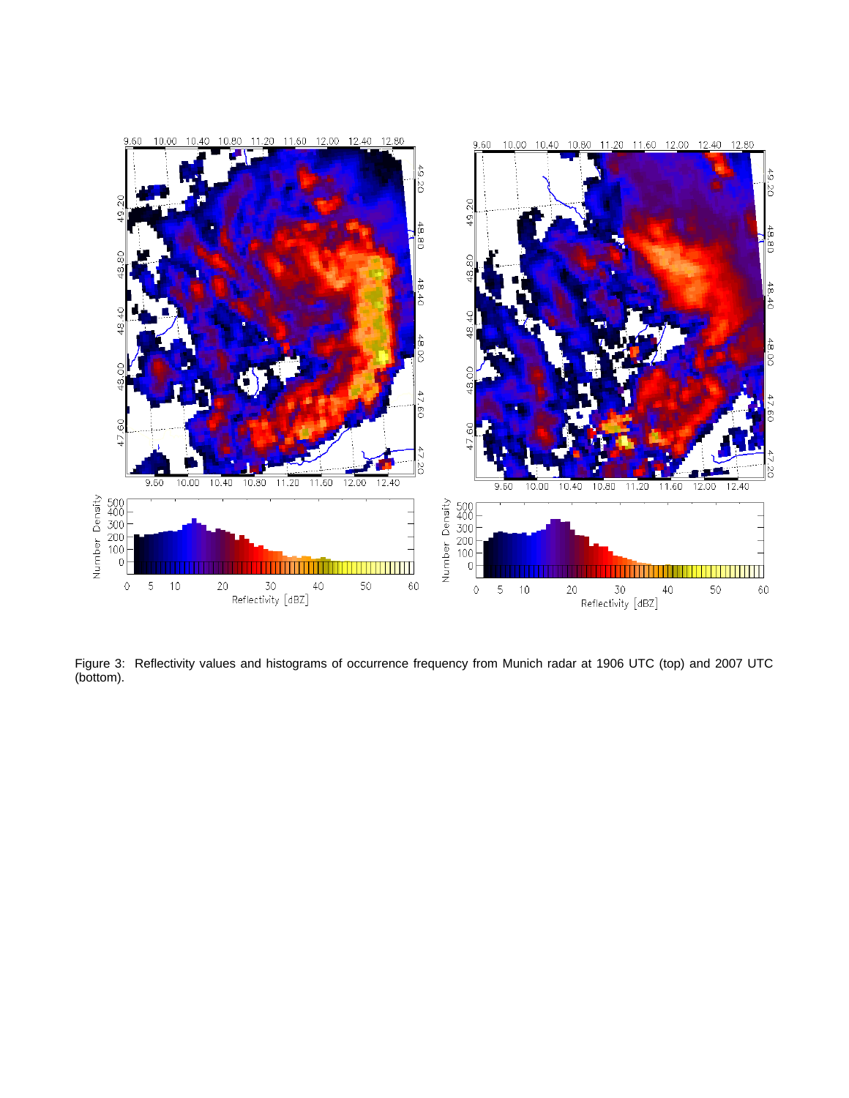

Figure 3: Reflectivity values and histograms of occurrence frequency from Munich radar at 1906 UTC (top) and 2007 UTC (bottom).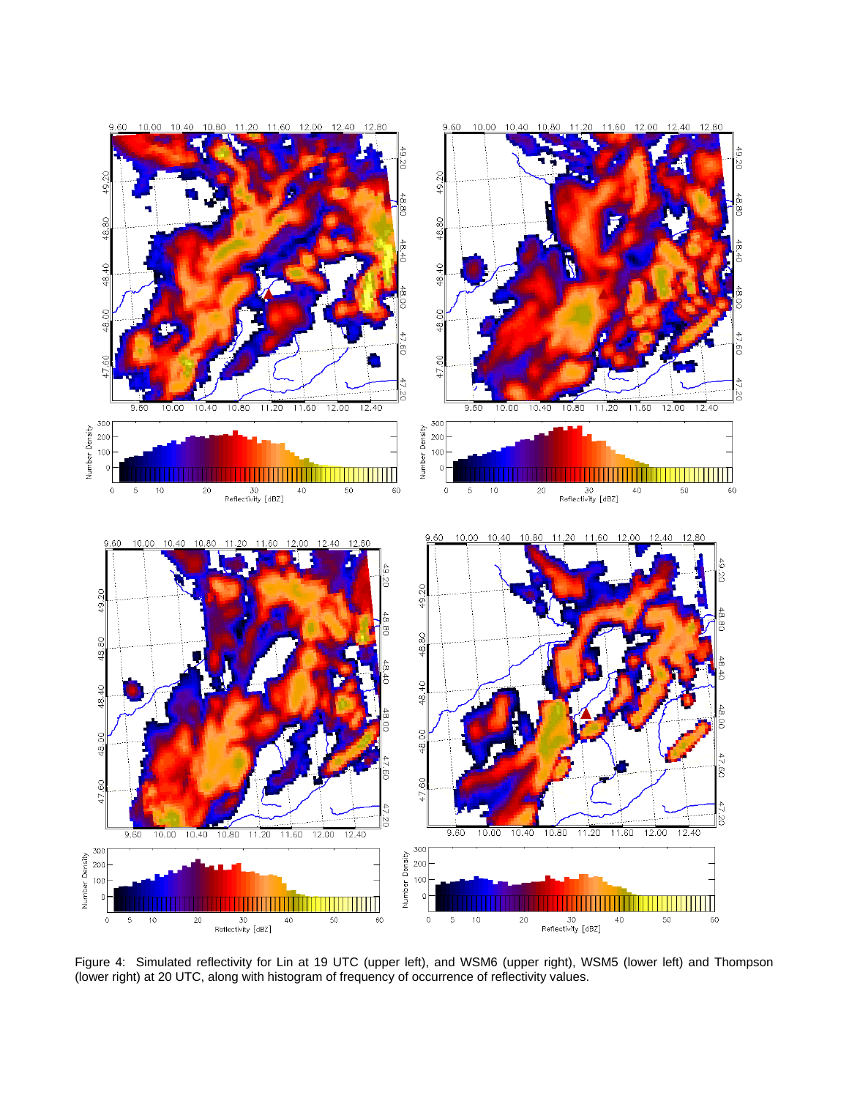

Figure 4: Simulated reflectivity for Lin at 19 UTC (upper left), and WSM6 (upper right), WSM5 (lower left) and Thompson (lower right) at 20 UTC, along with histogram of frequency of occurrence of reflectivity values.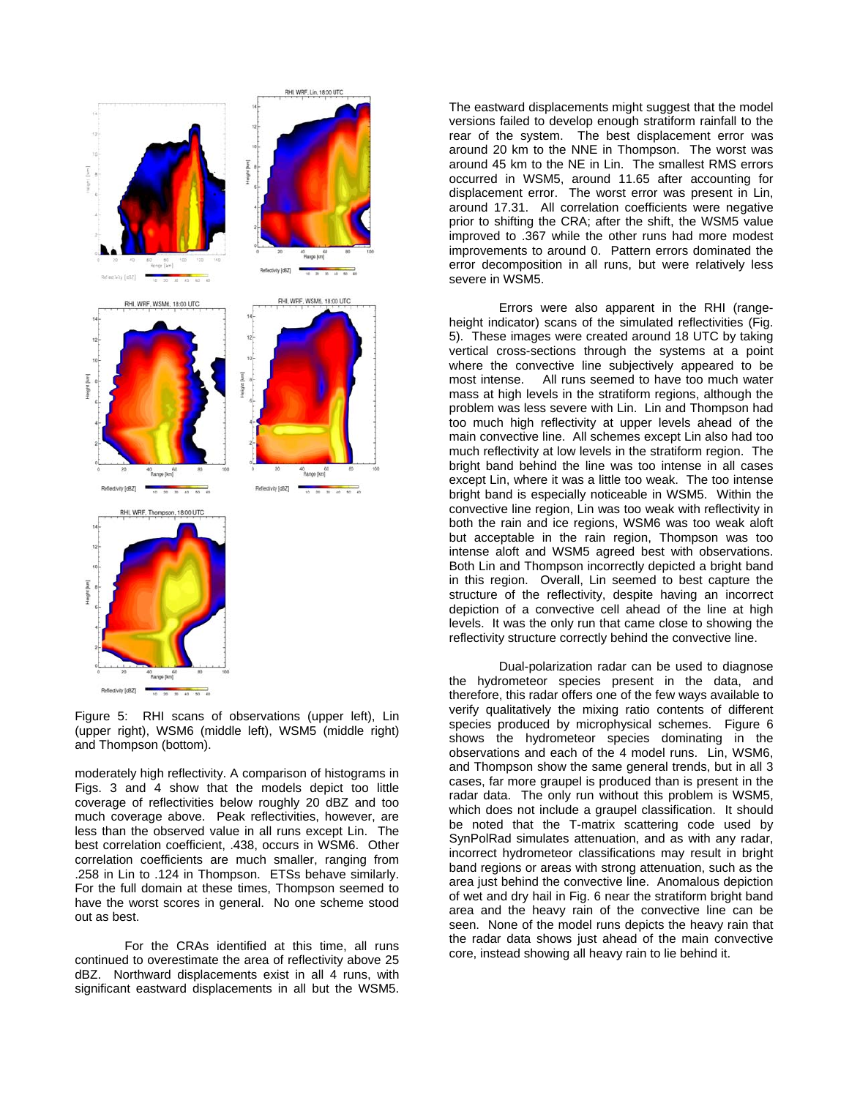

Figure 5: RHI scans of observations (upper left), Lin (upper right), WSM6 (middle left), WSM5 (middle right) and Thompson (bottom).

moderately high reflectivity. A comparison of histograms in Figs. 3 and 4 show that the models depict too little coverage of reflectivities below roughly 20 dBZ and too much coverage above. Peak reflectivities, however, are less than the observed value in all runs except Lin. The best correlation coefficient, .438, occurs in WSM6. Other correlation coefficients are much smaller, ranging from .258 in Lin to .124 in Thompson. ETSs behave similarly. For the full domain at these times, Thompson seemed to have the worst scores in general. No one scheme stood out as best.

For the CRAs identified at this time, all runs continued to overestimate the area of reflectivity above 25 dBZ. Northward displacements exist in all 4 runs, with significant eastward displacements in all but the WSM5.

The eastward displacements might suggest that the model versions failed to develop enough stratiform rainfall to the rear of the system. The best displacement error was around 20 km to the NNE in Thompson. The worst was around 45 km to the NE in Lin. The smallest RMS errors occurred in WSM5, around 11.65 after accounting for displacement error. The worst error was present in Lin, around 17.31. All correlation coefficients were negative prior to shifting the CRA; after the shift, the WSM5 value improved to .367 while the other runs had more modest improvements to around 0. Pattern errors dominated the error decomposition in all runs, but were relatively less severe in WSM5.

Errors were also apparent in the RHI (rangeheight in dicator) scans of the simulated reflectivities (Fig. 5). These images were created around 18 UTC by taking vertical cross-sections through the systems at a point where the convective line subjectively appeared to be most intense. All runs seemed to have too much water mass at high levels in the stratiform regions, although the problem was less severe with Lin. Lin and Thompson had too much high reflectivity at upper levels ahead of the main convective line. All schemes except Lin also had too much reflectivity at low levels in the stratiform region. The bright band behind the line was too intense in all cases except Lin, where it was a little too weak. The too intense bright band is especially noticeable in WSM5. Within the convective line region, Lin was too weak with reflectivity in both the rain and ice regions, WSM6 was too weak aloft but acceptable in the rain region, Thompson was too intense aloft and WSM5 agreed best with observations. Both Lin and Thompson incorrectly depicted a bright band in this region. Overall, Lin seemed to best capture the structure of the reflectivity, despite having an incorrect depiction of a convective cell ahead of the line at high levels. It was the only run that came close to showing the reflectivity structure correctly behind the convective line.

Dual-polarization radar can be used to diagnose the hydr ometeor species present in the data, and therefore, this radar offers one of the few ways available to verify qualitatively the mixing ratio contents of different species produced by microphysical schemes. Figure 6 shows the hydrometeor species dominating in the observations and each of the 4 model runs. Lin, WSM6, and Thompson show the same general trends, but in all 3 cases, far more graupel is produced than is present in the radar data. The only run without this problem is WSM5, which does not include a graupel classification. It should be noted that the T-matrix scattering code used by SynPolRad simulates attenuation, and as with any radar, incorrect hydrometeor classifications may result in bright band regions or areas with strong attenuation, such as the area just behind the convective line. Anomalous depiction of wet and dry hail in Fig. 6 near the stratiform bright band area and the heavy rain of the convective line can be seen. None of the model runs depicts the heavy rain that the radar data shows just ahead of the main convective core, instead showing all heavy rain to lie behind it.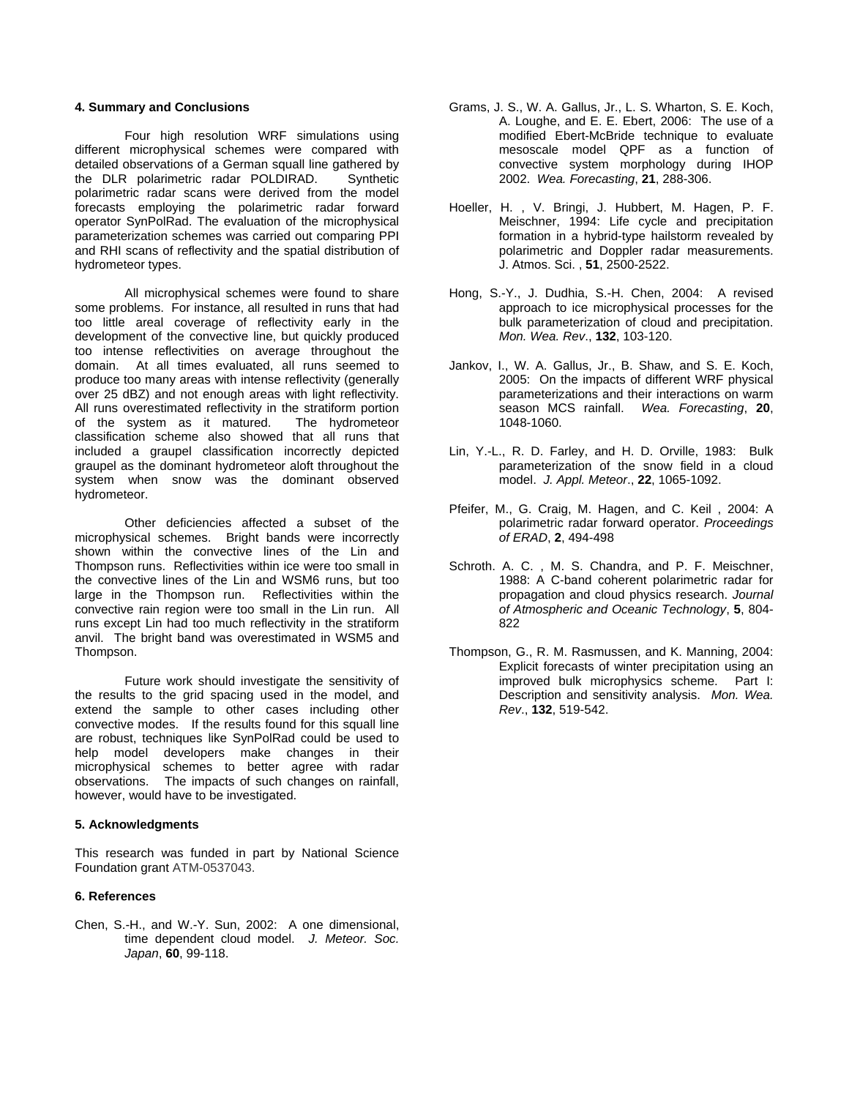# **4. Summary and Conclusions**

Four high resolution WRF simulations using different microphysical schemes were compared with detailed observations of a German squall line gathered by the DLR polarimetric radar POLDIRAD. Synthetic polarimetric radar scans were derived from the model forecasts employing the polarimetric radar forward operator SynPolRad. The evaluation of the microphysical parameterization schemes was carried out comparing PPI and RHI scans of reflectivity and the spatial distribution of hydrometeor types.

All microphysical schemes were found to share some pro blems. For instance, all resulted in runs that had too little areal coverage of reflectivity early in the development of the convective line, but quickly produced too intense reflectivities on average throughout the domain. At all times evaluated, all runs seemed to produce too many areas with intense reflectivity (generally over 25 dBZ) and not enough areas with light reflectivity. All runs overestimated reflectivity in the stratiform portion of the system as it matured. The hydrometeor classification scheme also showed that all runs that included a graupel classification incorrectly depicted graupel as the dominant hydrometeor aloft throughout the system when snow was the dominant observed hydrometeor.

Other deficiencies affected a subset of the microphy sical schemes. Bright bands were incorrectly shown within the convective lines of the Lin and Thompson runs. Reflectivities within ice were too small in the convective lines of the Lin and WSM6 runs, but too large in the Thompson run. Reflectivities within the convective rain region were too small in the Lin run. All runs except Lin had too much reflectivity in the stratiform anvil. The bright band was overestimated in WSM5 and Thompson.

Future work should investigate the sensitivity of the resu lts to the grid spacing used in the model, and extend the sample to other cases including other convective modes. If the results found for this squall line are robust, techniques like SynPolRad could be used to help model developers make changes in their microphysical schemes to better agree with radar observations. The impacts of such changes on rainfall, however, would have to be investigated.

## **Acknowledgments 5.**

This research was funded in part by National Science Foundation grant ATM-0537043.

## **. References 6**

Chen, S.-H., and W.-Y. Sun, 2002: A one dimensional, time dependent cloud model. *J. Meteor. Soc. Japan*, **60**, 99-118.

- Grams, J. S., W. A. Gallus, Jr., L. S. Wharton, S. E. Koch, A. Loughe, and E. E. Ebert, 2006: The use of a modified Ebert-McBride technique to evaluate mesoscale model QPF as a function of convective system morphology during IHOP 2002. *Wea. Forecasting*, **21**, 288-306.
- Hoeller, H. , V. Bringi, J. Hubbert, M. Hagen, P. F. Meischner, 1994: Life cycle and precipitation formation in a hybrid-type hailstorm revealed by polarimetric and Doppler radar measurements. J. Atmos. Sci. , **51**, 2500-2522.
- Hong, S.-Y., J. Dudhia, S.-H. Chen, 2004: A revised approach to ice microphysical processes for the bulk parameterization of cloud and precipitation. *Mon. Wea. Rev*., **132**, 103-120.
- Jankov, I., W. A. Gallus, Jr., B. Shaw, and S. E. Koch, 2005: On the impacts of different WRF physical parameterizations and their interactions on warm season MCS rainfall. *Wea. Forecasting*, **20**, 1048-1060.
- Lin, Y.-L., R. D. Farley, and H. D. Orville, 1983: Bulk parameterization of the snow field in a cloud model. *J. Appl. Meteor*., **22**, 1065-1092.
- Pfeifer, M., G. Craig, M. Hagen, and C. Keil , 2004: A polarimetric radar forward operator. *Proceedings of ERAD*, **2**, 494-498
- Schroth. A. C. , M. S. Chandra, and P. F. Meischner, 1988: A C-band coherent polarimetric radar for propagation and cloud physics research. *Journal of Atmospheric and Oceanic Technology*, **5**, 804- 822
- Thompson, G., R. M. Rasmussen, and K. Manning, 2004: Explicit forecasts of winter precipitation using an improved bulk microphysics scheme. Part I: Description and sensitivity analysis. *Mon. Wea. Rev*., **132**, 519-542.